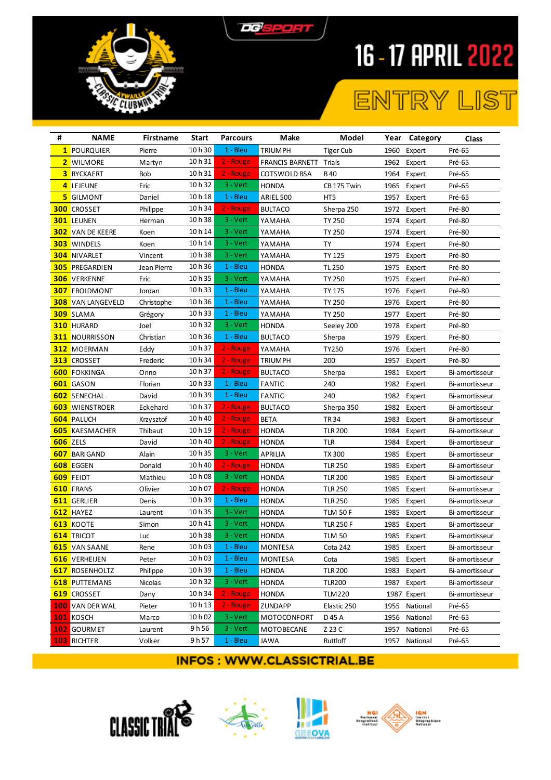



## ENTRY LIST

| # | <b>NAME</b>              | Firstname   | <b>Start</b> | <b>Parcours</b> | Make                   | Model            |      | Year Category | Class          |
|---|--------------------------|-------------|--------------|-----------------|------------------------|------------------|------|---------------|----------------|
|   | 1 POURQUIER              | Pierre      | 10 h 30      | $1 - Bleu$      | <b>TRIUMPH</b>         | <b>Tiger Cub</b> | 1960 | Expert        | Pré-65         |
|   | 2 WILMORE                | Martyn      | 10h31        | 2 - Rouge       | FRANCIS BARNETT Trials |                  | 1962 | Expert        | Pré-65         |
|   | <b>3</b> RYCKAERT        | Bob         | 10h31        | 2 - Rouge       | COTSWOLD BSA           | B 40             | 1964 | Expert        | Pré-65         |
|   | 4 LEJEUNE                | Eric        | 10h32        | 3 - Vert        | <b>HONDA</b>           | CB 175 Twin      | 1965 | Expert        | Pré-65         |
|   | <b>5</b> GILMONT         | Daniel      | 10h18        | $1 - Bleu$      | ARIEL 500              | HT5              | 1957 | Expert        | Pré-65         |
|   | <b>300 CROSSET</b>       | Philippe    | 10h 34       | 2 - Rouge       | <b>BULTACO</b>         | Sherpa 250       | 1972 | Expert        | Pré-80         |
|   | <b>301 LEUNEN</b>        | Herman      | 10h38        | $3 - Vert$      | YAMAHA                 | <b>TY 250</b>    | 1974 | Expert        | Pré-80         |
|   | <b>302</b> VAN DE KEERE  | Koen        | 10 h 14      | $3 - Vert$      | YAMAHA                 | <b>TY 250</b>    | 1974 | Expert        | Pré-80         |
|   | <b>303</b> WINDELS       | Koen        | 10 h 14      | 3 - Vert        | YAMAHA                 | TY               | 1974 | Expert        | Pré-80         |
|   | <b>304</b> NIVARLET      | Vincent     | 10h38        | $3 - Vert$      | YAMAHA                 | TY 125           | 1975 | Expert        | Pré-80         |
|   | <b>305 PREGARDIEN</b>    | Jean Pierre | 10h36        | 1 - Bleu        | <b>HONDA</b>           | <b>TL 250</b>    | 1975 | Expert        | Pré-80         |
|   | <b>306 VERKENNE</b>      | Eric        | 10h 35       | 3 - Vert        | YAMAHA                 | <b>TY 250</b>    | 1975 | Expert        | Pré-80         |
|   | <b>307</b> FROIDMONT     | Jordan      | 10h33        | $1 - Bleu$      | YAMAHA                 | <b>TY 175</b>    | 1976 | Expert        | Pré-80         |
|   | <b>308</b> VAN LANGEVELD | Christophe  | 10h36        | $1 - Bleu$      | YAMAHA                 | <b>TY 250</b>    | 1976 | Expert        | Pré-80         |
|   | <b>309</b> SLAMA         | Grégory     | 10h33        | $1 - Bleu$      | YAMAHA                 | <b>TY 250</b>    | 1977 | Expert        | Pré-80         |
|   | <b>310 HURARD</b>        | Joel        | 10h32        | $3 - Vert$      | <b>HONDA</b>           | Seeley 200       | 1978 | Expert        | Pré-80         |
|   | <b>311</b> NOURRISSON    | Christian   | 10h36        | $1 - Bleu$      | <b>BULTACO</b>         | Sherpa           | 1979 | Expert        | Pré-80         |
|   | <b>312 MOERMAN</b>       | Eddy        | 10h37        | 2 - Rouge       | YAMAHA                 | TY250            | 1976 | Expert        | Pré-80         |
|   | <b>313 CROSSET</b>       | Frederic    | 10h 34       | 2 - Rouge       | <b>TRIUMPH</b>         | 200              | 1957 | Expert        | Pré-80         |
|   | 600 FOKKINGA             | Onno        | 10h 37       | 2 - Rouge       | <b>BULTACO</b>         | Sherpa           | 1981 | Expert        | Bi-amortisseur |
|   | 601 GASON                | Florian     | 10h33        | $1 - Bleu$      | <b>FANTIC</b>          | 240              | 1982 | Expert        | Bi-amortisseur |
|   | 602 SENECHAL             | David       | 10h 39       | $1 - Bleu$      | <b>FANTIC</b>          | 240              | 1982 | Expert        | Bi-amortisseur |
|   | <b>603</b> WIENSTROER    | Eckehard    | 10h 37       | 2 - Rouge       | <b>BULTACO</b>         | Sherpa 350       | 1982 | Expert        | Bi-amortisseur |
|   | 604 PALUCH               | Krzysztof   | 10 h 40      | 2 - Rouge       | <b>BETA</b>            | TR 34            | 1983 | Expert        | Bi-amortisseur |
|   | <b>605</b> KAESMACHER    | Thibaut     | 10h19        | 2 - Rouge       | <b>HONDA</b>           | <b>TLR 200</b>   | 1984 | Expert        | Bi-amortisseur |
|   | 606 ZELS                 | David       | 10h40        | 2 - Rouge       | <b>HONDA</b>           | TLR              | 1984 | Expert        | Bi-amortisseur |
|   | <b>607 BARIGAND</b>      | Alain       | 10 h 35      | $3 - Vert$      | APRILIA                | <b>TX 300</b>    | 1985 | Expert        | Bi-amortisseur |
|   | 608 EGGEN                | Donald      | 10h40        | 2 - Rouge       | <b>HONDA</b>           | <b>TLR 250</b>   | 1985 | Expert        | Bi-amortisseur |
|   | 609 FEIDT                | Mathieu     | 10h08        | $3 - Vert$      | <b>HONDA</b>           | <b>TLR 200</b>   | 1985 | Expert        | Bi-amortisseur |
|   | 610 FRANS                | Olivier     | 10h07        | 2 - Rouge       | <b>HONDA</b>           | <b>TLR 250</b>   | 1985 | Expert        | Bi-amortisseur |
|   | 611 GERLIER              | Denis       | 10 h 39      | 1 - Bleu        | <b>HONDA</b>           | <b>TLR 250</b>   | 1985 | Expert        | Bi-amortisseur |
|   | 612 HAYEZ                | Laurent     | 10h35        | 3 - Vert        | <b>HONDA</b>           | <b>TLM 50 F</b>  | 1985 | Expert        | Bi-amortisseur |
|   | <b>613 KOOTE</b>         | Simon       | 10h41        | 3 - Vert        | <b>HONDA</b>           | <b>TLR 250 F</b> | 1985 | Expert        | Bi-amortisseur |
|   | 614 TRICOT               | Luc         | 10h38        | 3 - Vert        | <b>HONDA</b>           | <b>TLM 50</b>    |      | 1985 Expert   | Bi-amortisseur |
|   | <b>615</b> VAN SAANE     | Rene        | 10 h 03      | 1 - Bleu        | MONTESA                | Cota 242         |      | 1985 Expert   | Bi-amortisseur |
|   | 616 VERHEIJEN            | Peter       | 10 h 03      | $1 - Bleu$      | <b>MONTESA</b>         | Cota             | 1985 | Expert        | Bi-amortisseur |
|   | 617 ROSENHOLTZ           | Philippe    | 10h 39       | 1 - Bleu        | <b>HONDA</b>           | <b>TLR 200</b>   | 1983 | Expert        | Bi-amortisseur |
|   | <b>618 PUTTEMANS</b>     | Nicolas     | 10 h 32      | $3 - Vert$      | <b>HONDA</b>           | <b>TLR200</b>    | 1987 | Expert        | Bi-amortisseur |
|   | 619 CROSSET              | Dany        | 10 h 34      | 2 - Rouge       | <b>HONDA</b>           | <b>TLM220</b>    |      | 1987 Expert   | Bi-amortisseur |
|   | <b>100 VAN DER WAL</b>   | Pieter      | 10 h 13      | 2 - Rouge       | ZUNDAPP                | Elastic 250      | 1955 | National      | Pré-65         |
|   | 101 KOSCH                | Marco       | 10 h 02      | 3 - Vert        | MOTOCONFORT            | D 45 A           | 1956 | National      | Pré-65         |
|   | 102 GOURMET              | Laurent     | 9h 56        | 3 - Vert        | MOTOBECANE             | Z 23 C           | 1957 | National      | Pré-65         |
|   | <b>103</b> RICHTER       | Volker      | 9 h 57       | 1 - Bleu        | JAWA                   | Ruttloff         | 1957 | National      | Pré-65         |
|   |                          |             |              |                 |                        |                  |      |               |                |







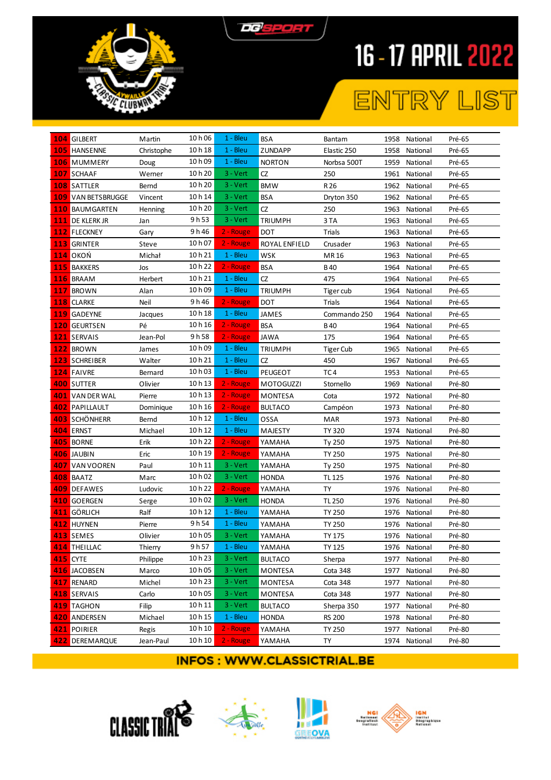



## ENTRY LIST

| 104 GILBERT            |                           | Martin     | 10 h 06 | $1 - Bleu$  | <b>BSA</b>       | Bantam           | 1958 | National      | Pré-65 |
|------------------------|---------------------------|------------|---------|-------------|------------------|------------------|------|---------------|--------|
| <b>105 HANSENNE</b>    |                           | Christophe | 10h18   | $1 - Bleu$  | <b>ZUNDAPP</b>   | Elastic 250      | 1958 | National      | Pré-65 |
| <b>106</b> MUMMERY     |                           | Doug       | 10h09   | $1 - Bleu$  | <b>NORTON</b>    | Norbsa 500T      | 1959 | National      | Pré-65 |
| 107 SCHAAF             |                           | Werner     | 10h20   | $3 - Vert$  | CZ               | 250              | 1961 | National      | Pré-65 |
| <b>108 SATTLER</b>     |                           | Bernd      | 10 h 20 | $3 - V$ ert | <b>BMW</b>       | R 26             | 1962 | National      | Pré-65 |
|                        | <b>109 VAN BETSBRUGGE</b> | Vincent    | 10 h 14 | $3 - Vert$  | <b>BSA</b>       | Dryton 350       | 1962 | National      | Pré-65 |
| <b>110 BAUMGARTEN</b>  |                           | Henning    | 10 h 20 | $3 - Vert$  | CZ               | 250              | 1963 | National      | Pré-65 |
| <b>111</b> DE KLERK JR |                           | Jan        | 9 h 53  | $3 - Vert$  | <b>TRIUMPH</b>   | 3 TA             | 1963 | National      | Pré-65 |
| <b>112</b> FLECKNEY    |                           | Gary       | 9h46    | 2 - Rouge   | DOT              | Trials           | 1963 | National      | Pré-65 |
| 113 GRINTER            |                           | Steve      | 10 h 07 | 2 - Rouge   | ROYAL ENFIELD    | Crusader         | 1963 | National      | Pré-65 |
| <b>114</b> OKOŃ        |                           | Michał     | 10h21   | $1 - Bleu$  | <b>WSK</b>       | MR 16            | 1963 | National      | Pré-65 |
| <b>115 BAKKERS</b>     |                           | Jos        | 10h22   | 2 - Rouge   | <b>BSA</b>       | <b>B40</b>       | 1964 | National      | Pré-65 |
| 116 BRAAM              |                           | Herbert    | 10h21   | $1 - Bleu$  | CZ               | 475              | 1964 | National      | Pré-65 |
| 117 BROWN              |                           | Alan       | 10 h 09 | $1 - Bleu$  | <b>TRIUMPH</b>   | Tiger cub        | 1964 | National      | Pré-65 |
| 118 CLARKE             |                           | Neil       | 9h46    | 2 - Rouge   | <b>DOT</b>       | Trials           | 1964 | National      | Pré-65 |
| <b>119 GADEYNE</b>     |                           | Jacques    | 10h18   | 1 - Bleu    | <b>JAMES</b>     | Commando 250     | 1964 | National      | Pré-65 |
| 120 GEURTSEN           |                           | Pé         | 10 h 16 | 2 - Rouge   | <b>BSA</b>       | <b>B40</b>       | 1964 | National      | Pré-65 |
| 121 SERVAIS            |                           | Jean-Pol   | 9h58    | 2 - Rouge   | <b>JAWA</b>      | 175              | 1964 | National      | Pré-65 |
| 122 BROWN              |                           | James      | 10h09   | 1 - Bleu    | <b>TRIUMPH</b>   | <b>Tiger Cub</b> | 1965 | National      | Pré-65 |
| <b>123</b> SCHREIBER   |                           | Walter     | 10h21   | $1 - Bleu$  | CZ               | 450              | 1967 | National      | Pré-65 |
| <b>124 FAIVRE</b>      |                           | Bernard    | 10 h 03 | $1 - Bleu$  | PEUGEOT          | TC4              | 1953 | National      | Pré-65 |
| <b>400 SUTTER</b>      |                           | Olivier    | 10 h 13 | 2 - Rouge   | <b>MOTOGUZZI</b> | Stornello        | 1969 | National      | Pré-80 |
| 401 VAN DER WAL        |                           | Pierre     | 10 h 13 | 2 - Rouge   | MONTESA          | Cota             | 1972 | National      | Pré-80 |
| <b>402 PAPILLAULT</b>  |                           | Dominique  | 10h16   | 2 - Rouge   | <b>BULTACO</b>   | Campéon          | 1973 | National      | Pré-80 |
| <b>403</b> SCHÖNHERR   |                           | Bernd      | 10 h 12 | $1 - Bleu$  | OSSA             | <b>MAR</b>       | 1973 | National      | Pré-80 |
| 404 ERNST              |                           | Michael    | 10h12   | $1 - Bleu$  | MAJESTY          | <b>TY 320</b>    | 1974 | National      | Pré-80 |
| 405 BORNE              |                           | Erik       | 10h22   | 2 - Rouge   | YAMAHA           | Ty 250           | 1975 | National      | Pré-80 |
| 406 JAUBIN             |                           | Eric       | 10h 19  | 2 - Rouge   | YAMAHA           | <b>TY 250</b>    | 1975 | National      | Pré-80 |
| 407 VAN VOOREN         |                           | Paul       | 10h11   | $3 - Vert$  | YAMAHA           | Ty 250           | 1975 | National      | Pré-80 |
| 408 BAATZ              |                           | Marc       | 10 h 02 | $3 - Vert$  | <b>HONDA</b>     | <b>TL 125</b>    | 1976 | National      | Pré-80 |
| 409 DEFAWES            |                           | Ludovic    | 10h22   | 2 - Rouge   | YAMAHA           | TY               | 1976 | National      | Pré-80 |
| 410 GOERGEN            |                           | Serge      | 10 h 02 | $3 - V$ ert | <b>HONDA</b>     | <b>TL 250</b>    | 1976 | National      | Pré-80 |
| 411 GÖRLICH            |                           | Ralf       | 10h 12  | $1 - Bleu$  | YAMAHA           | <b>TY 250</b>    | 1976 | National      | Pré-80 |
| 412 HUYNEN             |                           | Pierre     | 9 h 54  | $1 - Bleu$  | YAMAHA           | <b>TY 250</b>    | 1976 | National      | Pré-80 |
| 413 SEMES              |                           | Olivier    | 10 h 05 | $3 - Vert$  | YAMAHA           | <b>TY 175</b>    |      | 1976 National | Pré-80 |
| 414 THEILLAC           |                           | Thierry    | 9h57    | 1 - Bleu    | YAMAHA           | <b>TY 125</b>    |      | 1976 National | Pré-80 |
| <b>415 CYTE</b>        |                           | Philippe   | 10 h 23 | $3 - Vert$  | <b>BULTACO</b>   | Sherpa           | 1977 | National      | Pré-80 |
| 416 JACOBSEN           |                           | Marco      | 10 h 05 | 3 - Vert    | MONTESA          | Cota 348         | 1977 | National      | Pré-80 |
| 417 RENARD             |                           | Michel     | 10h23   | $3 - Vert$  | <b>MONTESA</b>   | Cota 348         | 1977 | National      | Pré-80 |
| 418 SERVAIS            |                           | Carlo      | 10h05   | 3 - Vert    | MONTESA          | Cota 348         | 1977 | National      | Pré-80 |
| <b>419</b> TAGHON      |                           | Filip      | 10h11   | 3 - Vert    | <b>BULTACO</b>   | Sherpa 350       | 1977 | National      | Pré-80 |
| 420 ANDERSEN           |                           | Michael    | 10h15   | $1 - Bleu$  | <b>HONDA</b>     | <b>RS 200</b>    | 1978 | National      | Pré-80 |
| 421 POIRIER            |                           | Regis      | 10 h 10 | 2 - Rouge   | YAMAHA           | <b>TY 250</b>    | 1977 | National      | Pré-80 |
| 422 DEREMARQUE         |                           | Jean-Paul  | 10 h 10 | 2 - Rouge   | YAMAHA           | TY               | 1974 | National      | Pré-80 |
|                        |                           |            |         |             |                  |                  |      |               |        |







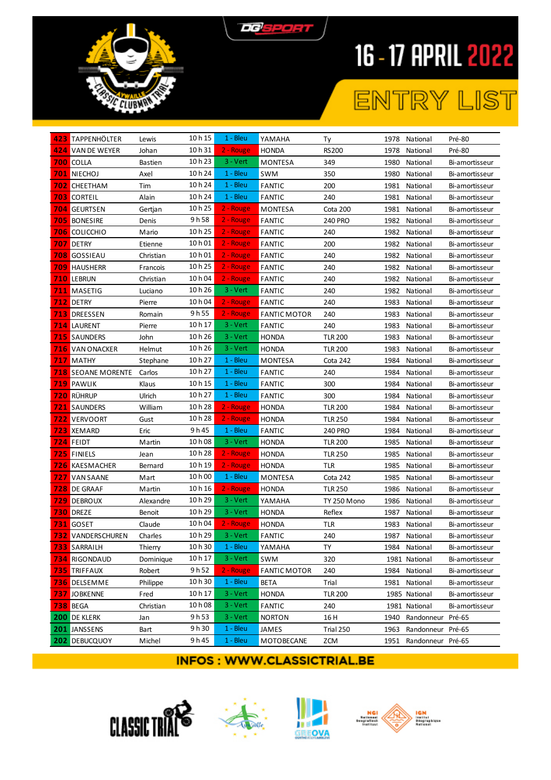



## ENTRY LIST

| 423 TAPPENHÖLTER          | Lewis     | 10 h 15 | $1 - Bleu$ | YAMAHA              | Τy             |      | 1978 National          | Pré-80         |
|---------------------------|-----------|---------|------------|---------------------|----------------|------|------------------------|----------------|
| 424 VAN DE WEYER          | Johan     | 10 h 31 | 2 - Rouge  | <b>HONDA</b>        | <b>RS200</b>   | 1978 | National               | Pré-80         |
| 700 COLLA                 | Bastien   | 10h23   | $3 - Vert$ | <b>MONTESA</b>      | 349            | 1980 | National               | Bi-amortisseur |
| <b>701 NIECHOJ</b>        | Axel      | 10 h 24 | $1 - Bleu$ | SWM                 | 350            | 1980 | National               | Bi-amortisseur |
| <b>702</b> CHEETHAM       | Tim       | 10 h 24 | $1 - Bleu$ | <b>FANTIC</b>       | 200            | 1981 | National               | Bi-amortisseur |
| <b>703 CORTEIL</b>        | Alain     | 10 h 24 | $1 - Bleu$ | <b>FANTIC</b>       | 240            | 1981 | National               | Bi-amortisseur |
| <b>704 GEURTSEN</b>       | Gertjan   | 10 h 25 | 2 - Rouge  | MONTESA             | Cota 200       | 1981 | National               | Bi-amortisseur |
| <b>705 BONESIRE</b>       | Denis     | 9 h 58  | 2 - Rouge  | <b>FANTIC</b>       | 240 PRO        | 1982 | National               | Bi-amortisseur |
| <b>706</b> COLICCHIO      | Mario     | 10 h 25 | 2 - Rouge  | <b>FANTIC</b>       | 240            | 1982 | National               | Bi-amortisseur |
| 707 DETRY                 | Etienne   | 10 h 01 | 2 - Rouge  | <b>FANTIC</b>       | 200            | 1982 | National               | Bi-amortisseur |
| <b>708 GOSSIEAU</b>       | Christian | 10h01   | 2 - Rouge  | <b>FANTIC</b>       | 240            | 1982 | National               | Bi-amortisseur |
| <b>709 HAUSHERR</b>       | Francois  | 10 h 25 | 2 - Rouge  | <b>FANTIC</b>       | 240            | 1982 | National               | Bi-amortisseur |
| 710 LEBRUN                | Christian | 10 h 04 | 2 - Rouge  | <b>FANTIC</b>       | 240            | 1982 | National               | Bi-amortisseur |
| 711 MASETIG               | Luciano   | 10h26   | $3 - Vert$ | <b>FANTIC</b>       | 240            | 1982 | National               | Bi-amortisseur |
| 712 DETRY                 | Pierre    | 10 h 04 | 2 - Rouge  | <b>FANTIC</b>       | 240            | 1983 | National               | Bi-amortisseur |
| <b>713 DREESSEN</b>       | Romain    | 9h 55   | 2 - Rouge  | <b>FANTIC MOTOR</b> | 240            | 1983 | National               | Bi-amortisseur |
| <b>714</b> LAURENT        | Pierre    | 10 h 17 | $3 - Vert$ | <b>FANTIC</b>       | 240            | 1983 | National               | Bi-amortisseur |
| <b>715</b> SAUNDERS       | John      | 10h26   | $3 - Vert$ | <b>HONDA</b>        | <b>TLR 200</b> | 1983 | National               | Bi-amortisseur |
| <b>716</b> VAN ONACKER    | Helmut    | 10h26   | $3 - Vert$ | <b>HONDA</b>        | <b>TLR 200</b> | 1983 | National               | Bi-amortisseur |
| <b>717 MATHY</b>          | Stephane  | 10 h 27 | $1 - Bleu$ | MONTESA             | Cota 242       | 1984 | National               | Bi-amortisseur |
| <b>718</b> SEOANE MORENTE | Carlos    | 10 h 27 | $1 - Bleu$ | <b>FANTIC</b>       | 240            | 1984 | National               | Bi-amortisseur |
| <b>719</b> PAWLIK         | Klaus     | 10 h 15 | $1 - Bleu$ | <b>FANTIC</b>       | 300            | 1984 | National               | Bi-amortisseur |
| <b>720 RÜHRUP</b>         | Ulrich    | 10h27   | $1 - Bleu$ | <b>FANTIC</b>       | 300            | 1984 | National               | Bi-amortisseur |
| <b>721 SAUNDERS</b>       | William   | 10 h 28 | 2 - Rouge  | <b>HONDA</b>        | <b>TLR 200</b> | 1984 | National               | Bi-amortisseur |
| <b>722</b> VERVOORT       | Gust      | 10h28   | 2 - Rouge  | <b>HONDA</b>        | <b>TLR 250</b> | 1984 | National               | Bi-amortisseur |
| <b>723 XEMARD</b>         | Eric      | 9 h 45  | $1 - Bleu$ | <b>FANTIC</b>       | <b>240 PRO</b> | 1984 | National               | Bi-amortisseur |
| 724 FEIDT                 | Martin    | 10 h 08 | $3 - Vert$ | <b>HONDA</b>        | <b>TLR 200</b> | 1985 | National               | Bi-amortisseur |
| <b>725</b> FINIELS        | Jean      | 10 h 28 | 2 - Rouge  | HONDA               | <b>TLR 250</b> | 1985 | National               | Bi-amortisseur |
| 726 KAESMACHER            | Bernard   | 10 h 19 | 2 - Rouge  | <b>HONDA</b>        | <b>TLR</b>     | 1985 | National               | Bi-amortisseur |
| <b>727 VAN SAANE</b>      | Mart      | 10 h 00 | $1 - Bleu$ | <b>MONTESA</b>      | Cota 242       | 1985 | National               | Bi-amortisseur |
| <b>728</b> DE GRAAF       | Martin    | 10 h 16 | 2 - Rouge  | <b>HONDA</b>        | <b>TLR 250</b> | 1986 | National               | Bi-amortisseur |
| <b>729 DEBROUX</b>        | Alexandre | 10 h 29 | $3 - Vert$ | YAMAHA              | TY 250 Mono    | 1986 | National               | Bi-amortisseur |
| <b>730 DREZE</b>          | Benoit    | 10h 29  | $3 - Vert$ | <b>HONDA</b>        | Reflex         | 1987 | National               | Bi-amortisseur |
| <b>731 GOSET</b>          | Claude    | 10 h 04 | 2 - Rouge  | <b>HONDA</b>        | TLR            | 1983 | National               | Bi-amortisseur |
| <b>732</b> VANDERSCHUREN  | Charles   | 10h 29  | $3 - Vert$ | <b>FANTIC</b>       | 240            |      | 1987 National          | Bi-amortisseur |
| <b>733 SARRAILH</b>       | Thierry   | 10 h 30 | 1 - Bleu   | YAMAHA              | TY             |      | 1984 National          | Bi-amortisseur |
| <b>734 RIGONDAUD</b>      | Dominique | 10 h 17 | 3 - Vert   | <b>SWM</b>          | 320            |      | 1981 National          | Bi-amortisseur |
| <b>735 TRIFFAUX</b>       | Robert    | 9 h 52  | 2 - Rouge  | <b>FANTIC MOTOR</b> | 240            |      | 1984 National          | Bi-amortisseur |
| <b>736 DELSEMME</b>       | Philippe  | 10 h 30 | $1 - Bleu$ | BETA                | Trial          |      | 1981 National          | Bi-amortisseur |
| <b>737 JOBKENNE</b>       | Fred      | 10 h 17 | 3 - Vert   | <b>HONDA</b>        | <b>TLR 200</b> |      | 1985 National          | Bi-amortisseur |
| <b>738 BEGA</b>           | Christian | 10 h 08 | 3 - Vert   | <b>FANTIC</b>       | 240            |      | 1981 National          | Bi-amortisseur |
| <b>200</b> DE KLERK       | Jan       | 9 h 53  | 3 - Vert   | <b>NORTON</b>       | 16 H           |      | 1940 Randonneur Pré-65 |                |
| 201 JANSSENS              | Bart      | 9 h 30  | $1 - Bleu$ | JAMES               | Trial 250      | 1963 | Randonneur Pré-65      |                |
| <b>202</b> DEBUCQUOY      | Michel    | 9 h 45  | $1 - Bleu$ | MOTOBECANE          | ZCM            |      | 1951 Randonneur Pré-65 |                |







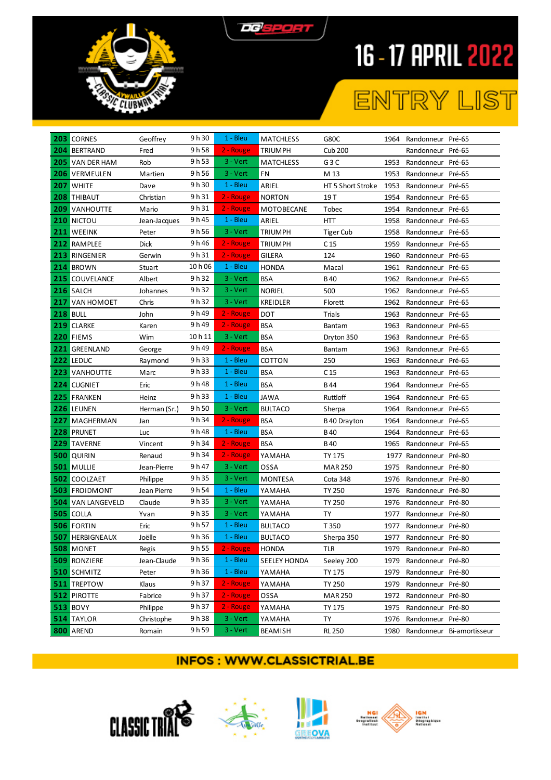



## ENTRY LIST

| 203 CORNES               | Geoffrey     | 9 h 30  | $1 - Bleu$  | <b>MATCHLESS</b>    | G80C                   |      | 1964 Randonneur Pré-65 |                           |
|--------------------------|--------------|---------|-------------|---------------------|------------------------|------|------------------------|---------------------------|
| 204 BERTRAND             | Fred         | 9 h 58  | 2 - Rouge   | <b>TRIUMPH</b>      | <b>Cub 200</b>         |      | Randonneur Pré-65      |                           |
| 205 VAN DER HAM          | Rob          | 9 h 53  | $3 - Vert$  | <b>MATCHLESS</b>    | G3C                    | 1953 | Randonneur Pré-65      |                           |
| <b>206 VERMEULEN</b>     | Martien      | 9h 56   | $3 - Vert$  | FN                  | M 13                   | 1953 | Randonneur Pré-65      |                           |
| <b>207 WHITE</b>         | Dave         | 9h30    | 1 - Bleu    | ARIEL               | HT 5 Short Stroke 1953 |      | Randonneur Pré-65      |                           |
| <b>208 THIBAUT</b>       | Christian    | 9 h 31  | 2 - Rouge   | <b>NORTON</b>       | 19 T                   | 1954 | Randonneur Pré-65      |                           |
| <b>209 VANHOUTTE</b>     | Mario        | 9 h 31  | 2 - Rouge   | MOTOBECANE          | Tobec                  | 1954 | Randonneur Pré-65      |                           |
| <b>210 NICTOU</b>        | Jean-Jacques | 9h45    | $1 - Bleu$  | ARIEL               | HTT                    | 1958 | Randonneur Pré-65      |                           |
| 211 WEEINK               | Peter        | 9h 56   | $3 - Vert$  | <b>TRIUMPH</b>      | <b>Tiger Cub</b>       | 1958 | Randonneur Pré-65      |                           |
| 212 RAMPLEE              | Dick         | 9 h 46  | 2 - Rouge   | <b>TRIUMPH</b>      | C 15                   | 1959 | Randonneur Pré-65      |                           |
| 213 RINGENIER            | Gerwin       | 9 h 31  | 2 - Rouge   | <b>GILERA</b>       | 124                    | 1960 | Randonneur Pré-65      |                           |
| 214 BROWN                | Stuart       | 10 h 06 | 1 - Bleu    | <b>HONDA</b>        | Macal                  | 1961 | Randonneur Pré-65      |                           |
| <b>215 COUVELANCE</b>    | Albert       | 9 h 32  | $3 - Vert$  | <b>BSA</b>          | B 40                   | 1962 | Randonneur Pré-65      |                           |
| 216 SALCH                | Johannes     | 9 h 32  | $3 - Vert$  | <b>NORIEL</b>       | 500                    | 1962 | Randonneur Pré-65      |                           |
| 217 VAN HOMOET           | Chris        | 9 h 32  | $3 - Vert$  | <b>KREIDLER</b>     | Florett                | 1962 | Randonneur Pré-65      |                           |
| <b>218 BULL</b>          | John         | 9 h 49  | 2 - Rouge   | DOT                 | Trials                 | 1963 | Randonneur Pré-65      |                           |
| 219 CLARKE               | Karen        | 9 h 49  | 2 - Rouge   | <b>BSA</b>          | Bantam                 | 1963 | Randonneur Pré-65      |                           |
| 220 FIEMS                | Wim          | 10 h 11 | $3 - Vert$  | <b>BSA</b>          | Dryton 350             | 1963 | Randonneur Pré-65      |                           |
| 221 GREENLAND            | George       | 9h49    | 2 - Rouge   | <b>BSA</b>          | Bantam                 | 1963 | Randonneur Pré-65      |                           |
| 222 LEDUC                | Raymond      | 9 h 33  | $1 - Bleu$  | COTTON              | 250                    | 1963 | Randonneur Pré-65      |                           |
| <b>223 VANHOUTTE</b>     | Marc         | 9 h 33  | $1 - Bleu$  | <b>BSA</b>          | C 15                   | 1963 | Randonneur Pré-65      |                           |
| 224 CUGNIET              | Eric         | 9h48    | 1 - Bleu    | <b>BSA</b>          | B44                    | 1964 | Randonneur Pré-65      |                           |
| 225 FRANKEN              | Heinz        | 9 h 33  | $1 - Bleu$  | <b>JAWA</b>         | Ruttloff               | 1964 | Randonneur Pré-65      |                           |
| 226 LEUNEN               | Herman (Sr.) | 9 h 50  | $3 - Vert$  | <b>BULTACO</b>      | Sherpa                 | 1964 | Randonneur Pré-65      |                           |
| 227 MAGHERMAN            | Jan          | 9 h 34  | 2 - Rouge   | <b>BSA</b>          | B 40 Drayton           | 1964 | Randonneur Pré-65      |                           |
| 228 PRUNET               | Luc          | 9 h 48  | $1 - Bleu$  | <b>BSA</b>          | B 40                   | 1964 | Randonneur Pré-65      |                           |
| 229 TAVERNE              | Vincent      | 9 h 34  | 2 - Rouge   | <b>BSA</b>          | <b>B40</b>             | 1965 | Randonneur Pré-65      |                           |
| <b>500 QUIRIN</b>        | Renaud       | 9 h 34  | 2 - Rouge   | YAMAHA              | <b>TY 175</b>          |      | 1977 Randonneur Pré-80 |                           |
| <b>501 MULLIE</b>        | Jean-Pierre  | 9 h 47  | $3 - Vert$  | OSSA                | <b>MAR 250</b>         | 1975 | Randonneur Pré-80      |                           |
| 502 COOLZAET             | Philippe     | 9 h 35  | $3 - Vert$  | MONTESA             | Cota 348               | 1976 | Randonneur Pré-80      |                           |
| <b>503 FROIDMONT</b>     | Jean Pierre  | 9 h 54  | 1 - Bleu    | YAMAHA              | <b>TY 250</b>          | 1976 | Randonneur Pré-80      |                           |
| <b>504 VAN LANGEVELD</b> | Claude       | 9 h 35  | $3 - Vert$  | YAMAHA              | <b>TY 250</b>          | 1976 | Randonneur Pré-80      |                           |
| 505 COLLA                | Yvan         | 9 h 35  | $3 - V$ ert | YAMAHA              | TY                     | 1977 | Randonneur Pré-80      |                           |
| <b>506 FORTIN</b>        | Eric         | 9 h 57  | 1 - Bleu    | <b>BULTACO</b>      | T 350                  | 1977 | Randonneur Pré-80      |                           |
| <b>507 HERBIGNEAUX</b>   | Joëlle       | 9 h 36  | $1 - Bleu$  | <b>BULTACO</b>      | Sherpa 350             |      | 1977 Randonneur Pré-80 |                           |
| <b>508 MONET</b>         | Regis        | 9h55    | 2 - Rouge   | HONDA               | TLR                    |      | 1979 Randonneur Pré-80 |                           |
| <b>509 RONZIERE</b>      | Jean-Claude  | 9 h 36  | $1 - Bleu$  | <b>SEELEY HONDA</b> | Seeley 200             | 1979 | Randonneur Pré-80      |                           |
| <b>510 SCHMITZ</b>       | Peter        | 9 h 36  | $1 - Bleu$  | YAMAHA              | <b>TY 175</b>          | 1979 | Randonneur Pré-80      |                           |
| <b>511 TREPTOW</b>       | Klaus        | 9 h 37  | 2 - Rouge   | YAMAHA              | <b>TY 250</b>          | 1979 | Randonneur Pré-80      |                           |
| <b>512 PIROTTE</b>       | Fabrice      | 9 h 37  | 2 - Rouge   | OSSA                | <b>MAR 250</b>         | 1972 | Randonneur Pré-80      |                           |
| <b>513 BOVY</b>          | Philippe     | 9 h 37  | 2 - Rouge   | YAMAHA              | TY 175                 | 1975 | Randonneur Pré-80      |                           |
| <b>514 TAYLOR</b>        | Christophe   | 9 h 38  | $3 - V$ ert | YAMAHA              | TY                     | 1976 | Randonneur Pré-80      |                           |
| 800 AREND                | Romain       | 9 h 59  | $3 - V$ ert | <b>BEAMISH</b>      | <b>RL 250</b>          | 1980 |                        | Randonneur Bi-amortisseur |